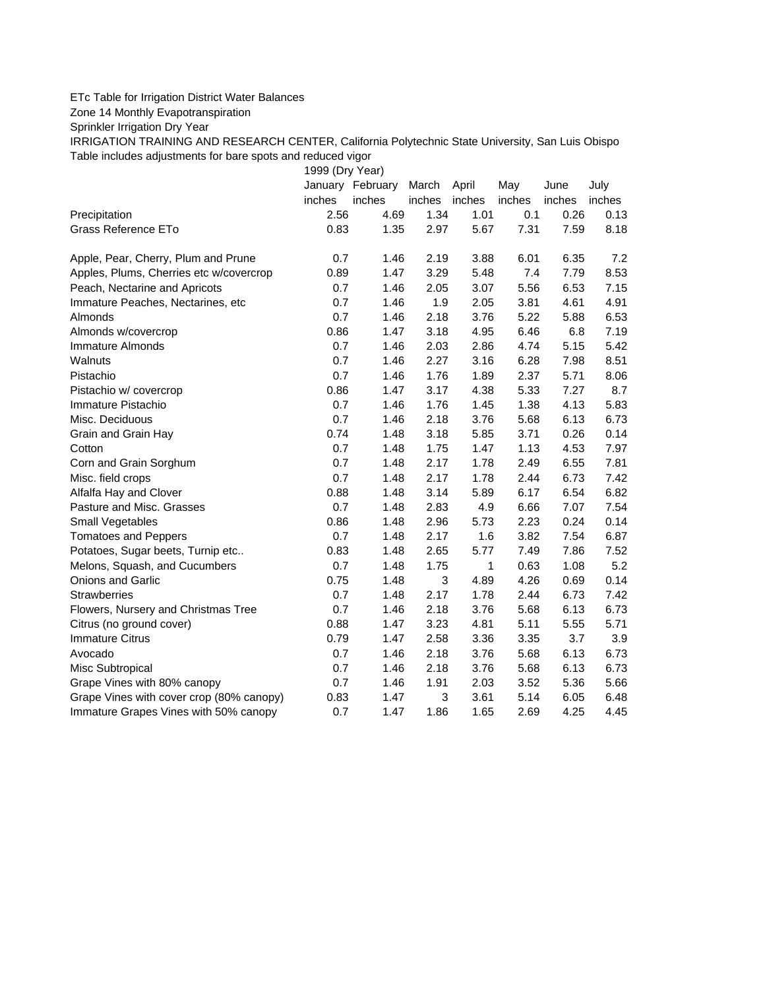## ETc Table for Irrigation District Water Balances

Zone 14 Monthly Evapotranspiration

Sprinkler Irrigation Dry Year

IRRIGATION TRAINING AND RESEARCH CENTER, California Polytechnic State University, San Luis Obispo Table includes adjustments for bare spots and reduced vigor

1999 (Dry Year)

|                                          |        | January February | March  | April  | May    | June   | July   |
|------------------------------------------|--------|------------------|--------|--------|--------|--------|--------|
|                                          | inches | inches           | inches | inches | inches | inches | inches |
| Precipitation                            | 2.56   | 4.69             | 1.34   | 1.01   | 0.1    | 0.26   | 0.13   |
| Grass Reference ETo                      | 0.83   | 1.35             | 2.97   | 5.67   | 7.31   | 7.59   | 8.18   |
| Apple, Pear, Cherry, Plum and Prune      | 0.7    | 1.46             | 2.19   | 3.88   | 6.01   | 6.35   | 7.2    |
| Apples, Plums, Cherries etc w/covercrop  | 0.89   | 1.47             | 3.29   | 5.48   | 7.4    | 7.79   | 8.53   |
| Peach, Nectarine and Apricots            | 0.7    | 1.46             | 2.05   | 3.07   | 5.56   | 6.53   | 7.15   |
| Immature Peaches, Nectarines, etc        | 0.7    | 1.46             | 1.9    | 2.05   | 3.81   | 4.61   | 4.91   |
| Almonds                                  | 0.7    | 1.46             | 2.18   | 3.76   | 5.22   | 5.88   | 6.53   |
| Almonds w/covercrop                      | 0.86   | 1.47             | 3.18   | 4.95   | 6.46   | 6.8    | 7.19   |
| Immature Almonds                         | 0.7    | 1.46             | 2.03   | 2.86   | 4.74   | 5.15   | 5.42   |
| Walnuts                                  | 0.7    | 1.46             | 2.27   | 3.16   | 6.28   | 7.98   | 8.51   |
| Pistachio                                | 0.7    | 1.46             | 1.76   | 1.89   | 2.37   | 5.71   | 8.06   |
| Pistachio w/ covercrop                   | 0.86   | 1.47             | 3.17   | 4.38   | 5.33   | 7.27   | 8.7    |
| Immature Pistachio                       | 0.7    | 1.46             | 1.76   | 1.45   | 1.38   | 4.13   | 5.83   |
| Misc. Deciduous                          | 0.7    | 1.46             | 2.18   | 3.76   | 5.68   | 6.13   | 6.73   |
| Grain and Grain Hay                      | 0.74   | 1.48             | 3.18   | 5.85   | 3.71   | 0.26   | 0.14   |
| Cotton                                   | 0.7    | 1.48             | 1.75   | 1.47   | 1.13   | 4.53   | 7.97   |
| Corn and Grain Sorghum                   | 0.7    | 1.48             | 2.17   | 1.78   | 2.49   | 6.55   | 7.81   |
| Misc. field crops                        | 0.7    | 1.48             | 2.17   | 1.78   | 2.44   | 6.73   | 7.42   |
| Alfalfa Hay and Clover                   | 0.88   | 1.48             | 3.14   | 5.89   | 6.17   | 6.54   | 6.82   |
| Pasture and Misc. Grasses                | 0.7    | 1.48             | 2.83   | 4.9    | 6.66   | 7.07   | 7.54   |
| Small Vegetables                         | 0.86   | 1.48             | 2.96   | 5.73   | 2.23   | 0.24   | 0.14   |
| <b>Tomatoes and Peppers</b>              | 0.7    | 1.48             | 2.17   | 1.6    | 3.82   | 7.54   | 6.87   |
| Potatoes, Sugar beets, Turnip etc        | 0.83   | 1.48             | 2.65   | 5.77   | 7.49   | 7.86   | 7.52   |
| Melons, Squash, and Cucumbers            | 0.7    | 1.48             | 1.75   | 1      | 0.63   | 1.08   | 5.2    |
| Onions and Garlic                        | 0.75   | 1.48             | 3      | 4.89   | 4.26   | 0.69   | 0.14   |
| <b>Strawberries</b>                      | 0.7    | 1.48             | 2.17   | 1.78   | 2.44   | 6.73   | 7.42   |
| Flowers, Nursery and Christmas Tree      | 0.7    | 1.46             | 2.18   | 3.76   | 5.68   | 6.13   | 6.73   |
| Citrus (no ground cover)                 | 0.88   | 1.47             | 3.23   | 4.81   | 5.11   | 5.55   | 5.71   |
| <b>Immature Citrus</b>                   | 0.79   | 1.47             | 2.58   | 3.36   | 3.35   | 3.7    | 3.9    |
| Avocado                                  | 0.7    | 1.46             | 2.18   | 3.76   | 5.68   | 6.13   | 6.73   |
| Misc Subtropical                         | 0.7    | 1.46             | 2.18   | 3.76   | 5.68   | 6.13   | 6.73   |
| Grape Vines with 80% canopy              | 0.7    | 1.46             | 1.91   | 2.03   | 3.52   | 5.36   | 5.66   |
| Grape Vines with cover crop (80% canopy) | 0.83   | 1.47             | 3      | 3.61   | 5.14   | 6.05   | 6.48   |
| Immature Grapes Vines with 50% canopy    | 0.7    | 1.47             | 1.86   | 1.65   | 2.69   | 4.25   | 4.45   |